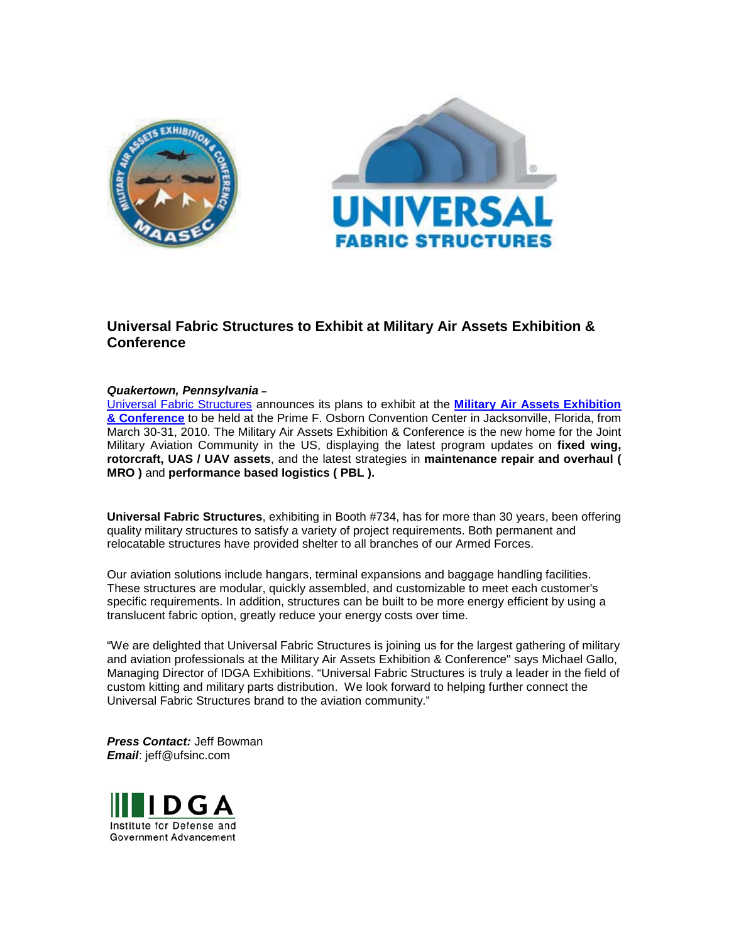



## **Universal Fabric Structures to Exhibit at Military Air Assets Exhibition & Conference**

## *Quakertown, Pennsylvania –*

[Universal Fabric Structures](http://www.ufsinc.com/) announces its plans to exhibit at the **[Military Air Assets Exhibition](http://www.maasec.com/)  [& Conference](http://www.maasec.com/)** to be held at the Prime F. Osborn Convention Center in Jacksonville, Florida, from March 30-31, 2010. The Military Air Assets Exhibition & Conference is the new home for the Joint Military Aviation Community in the US, displaying the latest program updates on **fixed wing, rotorcraft, UAS / UAV assets**, and the latest strategies in **maintenance repair and overhaul ( MRO )** and **performance based logistics ( PBL ).**

**Universal Fabric Structures**, exhibiting in Booth #734, has for more than 30 years, been offering quality military structures to satisfy a variety of project requirements. Both permanent and relocatable structures have provided shelter to all branches of our Armed Forces.

Our aviation solutions include hangars, terminal expansions and baggage handling facilities. These structures are modular, quickly assembled, and customizable to meet each customer's specific requirements. In addition, structures can be built to be more energy efficient by using a translucent fabric option, greatly reduce your energy costs over time.

"We are delighted that Universal Fabric Structures is joining us for the largest gathering of military and aviation professionals at the Military Air Assets Exhibition & Conference" says Michael Gallo, Managing Director of IDGA Exhibitions. "Universal Fabric Structures is truly a leader in the field of custom kitting and military parts distribution. We look forward to helping further connect the Universal Fabric Structures brand to the aviation community."

*Press Contact:* Jeff Bowman *Email*: jeff@ufsinc.com